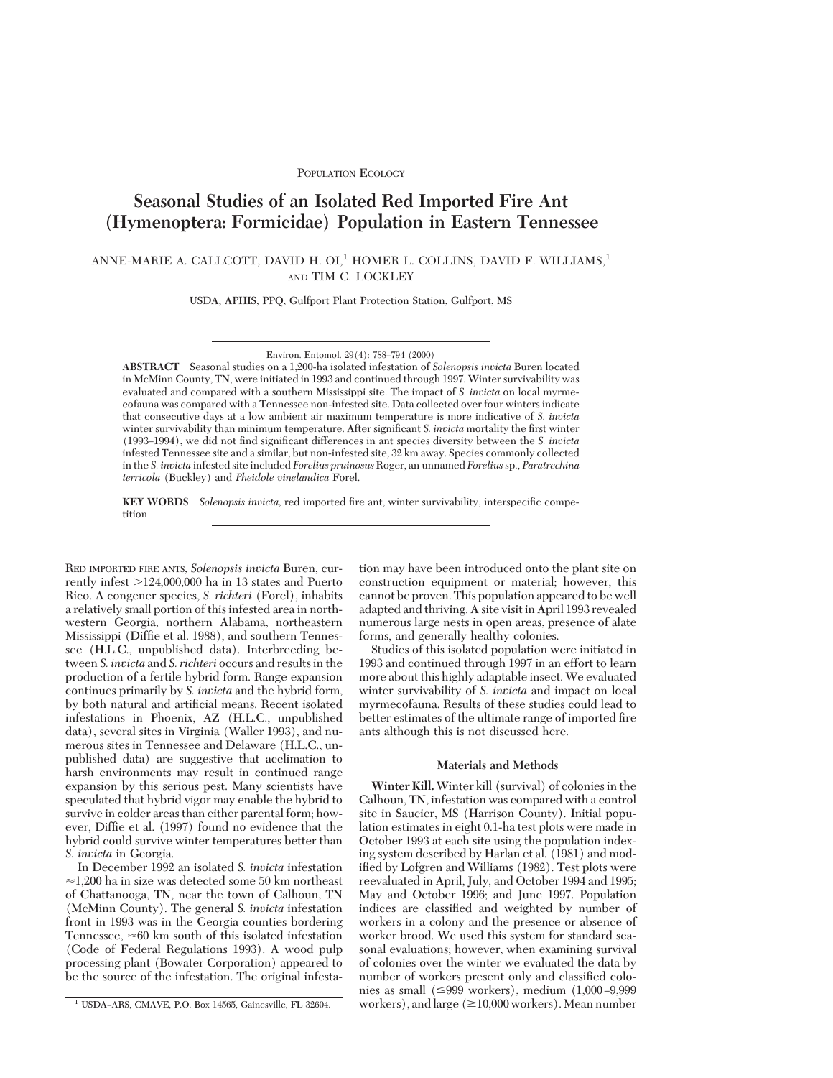# **Seasonal Studies of an Isolated Red Imported Fire Ant (Hymenoptera: Formicidae) Population in Eastern Tennessee**

ANNE-MARIE A. CALLCOTT, DAVID H. OI,<sup>1</sup> HOMER L. COLLINS, DAVID F. WILLIAMS,<sup>1</sup> AND TIM C. LOCKLEY

USDA, APHIS, PPQ, Gulfport Plant Protection Station, Gulfport, MS

**ABSTRACT** Seasonal studies on a 1,200-ha isolated infestation of *Solenopsis invicta* Buren located in McMinn County, TN, were initiated in 1993 and continued through 1997. Winter survivability was evaluated and compared with a southern Mississippi site. The impact of *S. invicta* on local myrmecofauna was compared with a Tennessee non-infested site. Data collected over four winters indicate that consecutive days at a low ambient air maximum temperature is more indicative of *S. invicta* winter survivability than minimum temperature. After significant *S. invicta* mortality the first winter (1993–1994), we did not find significant differences in ant species diversity between the *S. invicta* infested Tennessee site and a similar, but non-infested site, 32 km away. Species commonly collected in the *S. invicta* infested site included *Forelius pruinosus*Roger, an unnamed *Forelius*sp., *Paratrechina terricola* (Buckley) and *Pheidole vinelandica* Forel.

**KEY WORDS** *Solenopsis invicta*, red imported fire ant, winter survivability, interspecific competition

RED IMPORTED FIRE ANTS, *Solenopsis invicta* Buren, currently infest  $>124,000,000$  ha in 13 states and Puerto Rico. A congener species, *S. richteri* (Forel), inhabits a relatively small portion of this infested area in northwestern Georgia, northern Alabama, northeastern Mississippi (Diffie et al. 1988), and southern Tennessee (H.L.C., unpublished data). Interbreeding between *S. invicta* and *S. richteri* occurs and results in the production of a fertile hybrid form. Range expansion continues primarily by *S. invicta* and the hybrid form, by both natural and artificial means. Recent isolated infestations in Phoenix, AZ (H.L.C., unpublished data), several sites in Virginia (Waller 1993), and numerous sites in Tennessee and Delaware (H.L.C., unpublished data) are suggestive that acclimation to harsh environments may result in continued range expansion by this serious pest. Many scientists have speculated that hybrid vigor may enable the hybrid to survive in colder areas than either parental form; however, Diffie et al. (1997) found no evidence that the hybrid could survive winter temperatures better than *S. invicta* in Georgia.

In December 1992 an isolated *S. invicta* infestation  $\approx$ 1,200 ha in size was detected some 50 km northeast of Chattanooga, TN, near the town of Calhoun, TN (McMinn County). The general *S. invicta* infestation front in 1993 was in the Georgia counties bordering Tennessee,  $\approx 60$  km south of this isolated infestation (Code of Federal Regulations 1993). A wood pulp processing plant (Bowater Corporation) appeared to be the source of the infestation. The original infestation may have been introduced onto the plant site on construction equipment or material; however, this cannot be proven. This population appeared to be well adapted and thriving. A site visit in April 1993 revealed numerous large nests in open areas, presence of alate forms, and generally healthy colonies.

Studies of this isolated population were initiated in 1993 and continued through 1997 in an effort to learn more about this highly adaptable insect. We evaluated winter survivability of *S. invicta* and impact on local myrmecofauna. Results of these studies could lead to better estimates of the ultimate range of imported fire ants although this is not discussed here.

# **Materials and Methods**

**Winter Kill.** Winter kill (survival) of colonies in the Calhoun, TN, infestation was compared with a control site in Saucier, MS (Harrison County). Initial population estimates in eight 0.1-ha test plots were made in October 1993 at each site using the population indexing system described by Harlan et al. (1981) and modified by Lofgren and Williams (1982). Test plots were reevaluated in April, July, and October 1994 and 1995; May and October 1996; and June 1997. Population indices are classified and weighted by number of workers in a colony and the presence or absence of worker brood. We used this system for standard seasonal evaluations; however, when examining survival of colonies over the winter we evaluated the data by number of workers present only and classified colonies as small  $(\leq 999$  workers), medium  $(1,000 - 9,999)$ <sup>1</sup> USDA–ARS, CMAVE, P.O. Box 14565, Gainesville, FL 32604. workers), and large ( $\geq$ 10,000 workers). Mean number

Environ. Entomol. 29(4): 788-794 (2000)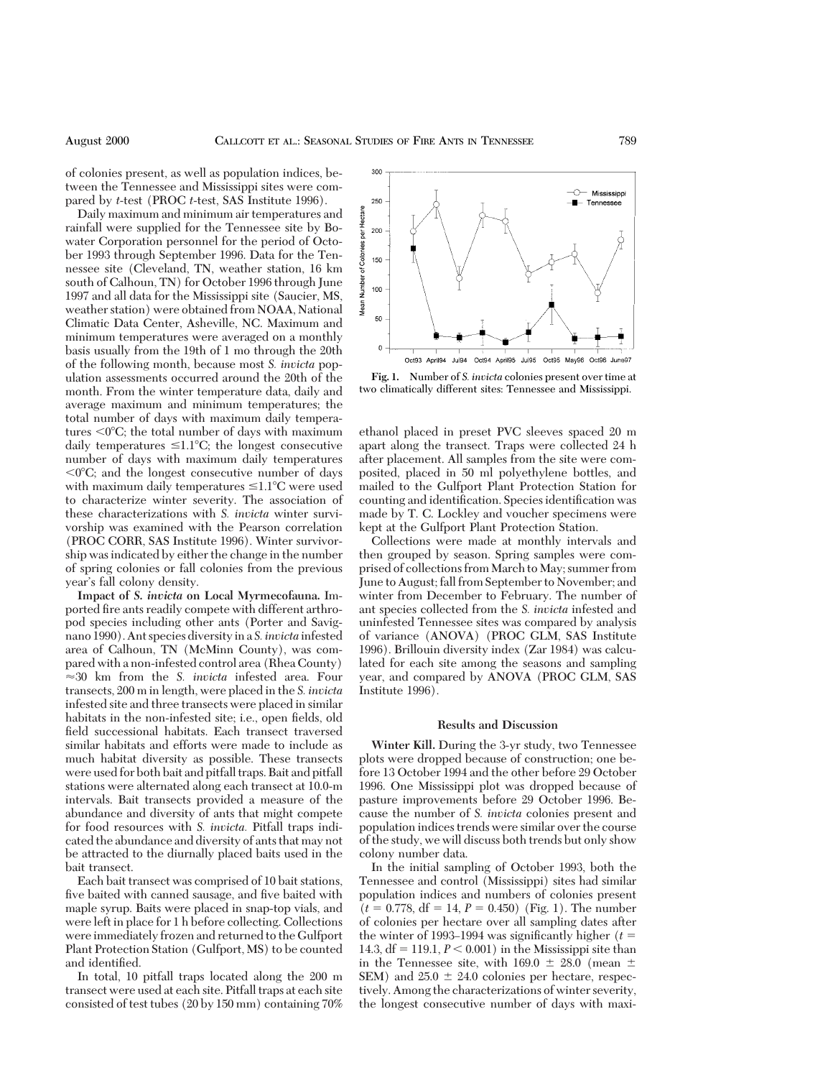of colonies present, as well as population indices, between the Tennessee and Mississippi sites were compared by *t*-test (PROC *t*-test, SAS Institute 1996).

Daily maximum and minimum air temperatures and rainfall were supplied for the Tennessee site by Bowater Corporation personnel for the period of October 1993 through September 1996. Data for the Tennessee site (Cleveland, TN, weather station, 16 km south of Calhoun, TN) for October 1996 through June 1997 and all data for the Mississippi site (Saucier, MS, weather station) were obtained from NOAA, National Climatic Data Center, Asheville, NC. Maximum and minimum temperatures were averaged on a monthly basis usually from the 19th of 1 mo through the 20th of the following month, because most *S. invicta* population assessments occurred around the 20th of the month. From the winter temperature data, daily and average maximum and minimum temperatures; the total number of days with maximum daily temperatures  $\langle 0^{\circ}C \rangle$ ; the total number of days with maximum daily temperatures  $\leq 1.1^{\circ}C$ ; the longest consecutive number of days with maximum daily temperatures  $0^{\circ}$ C; and the longest consecutive number of days with maximum daily temperatures  $\leq 1.1^{\circ}C$  were used to characterize winter severity. The association of these characterizations with *S. invicta* winter survivorship was examined with the Pearson correlation (PROC CORR, SAS Institute 1996). Winter survivorship was indicated by either the change in the number of spring colonies or fall colonies from the previous year's fall colony density.

**Impact of** *S. invicta* **on Local Myrmecofauna.** Imported fire ants readily compete with different arthropod species including other ants (Porter and Savignano 1990). Ant species diversityin a *S. invicta* infested area of Calhoun, TN (McMinn County), was compared with a non-infested control area (Rhea County)  $\approx$  30 km from the *S. invicta* infested area. Four transects, 200 m in length, were placed in the *S. invicta* infested site and three transects were placed in similar habitats in the non-infested site; i.e., open fields, old field successional habitats. Each transect traversed similar habitats and efforts were made to include as much habitat diversity as possible. These transects were used for both bait and pitfall traps. Bait and pitfall stations were alternated along each transect at 10.0-m intervals. Bait transects provided a measure of the abundance and diversity of ants that might compete for food resources with *S. invicta.* Pitfall traps indicated the abundance and diversity of ants that may not be attracted to the diurnally placed baits used in the bait transect.

Each bait transect was comprised of 10 bait stations, five baited with canned sausage, and five baited with maple syrup. Baits were placed in snap-top vials, and were left in place for 1 h before collecting. Collections were immediately frozen and returned to the Gulfport Plant Protection Station (Gulfport, MS) to be counted and identified.

In total, 10 pitfall traps located along the 200 m transect were used at each site. Pitfall traps at each site consisted of test tubes (20 by 150 mm) containing 70%



**Fig. 1.** Number of *S. invicta* colonies present over time at two climatically different sites: Tennessee and Mississippi.

ethanol placed in preset PVC sleeves spaced 20 m apart along the transect. Traps were collected 24 h after placement. All samples from the site were composited, placed in 50 ml polyethylene bottles, and mailed to the Gulfport Plant Protection Station for counting and identification. Species identification was made by T. C. Lockley and voucher specimens were kept at the Gulfport Plant Protection Station.

Collections were made at monthly intervals and then grouped by season. Spring samples were comprised of collections from March to May; summer from June to August; fall from September to November; and winter from December to February. The number of ant species collected from the *S. invicta* infested and uninfested Tennessee sites was compared by analysis of variance (ANOVA) (PROC GLM, SAS Institute 1996). Brillouin diversity index (Zar 1984) was calculated for each site among the seasons and sampling year, and compared by ANOVA (PROC GLM, SAS Institute 1996).

### **Results and Discussion**

**Winter Kill.** During the 3-yr study, two Tennessee plots were dropped because of construction; one before 13 October 1994 and the other before 29 October 1996. One Mississippi plot was dropped because of pasture improvements before 29 October 1996. Because the number of *S. invicta* colonies present and population indices trends were similar over the course of the study, we will discuss both trends but only show colony number data.

In the initial sampling of October 1993, both the Tennessee and control (Mississippi) sites had similar population indices and numbers of colonies present  $(t = 0.778, df = 14, P = 0.450)$  (Fig. 1). The number of colonies per hectare over all sampling dates after the winter of 1993–1994 was significantly higher  $(t=$ 14.3,  $df = 119.1, P \le 0.001$  in the Mississippi site than in the Tennessee site, with  $169.0 \pm 28.0$  (mean  $\pm$ SEM) and  $25.0 \pm 24.0$  colonies per hectare, respectively. Among the characterizations of winter severity, the longest consecutive number of days with maxi-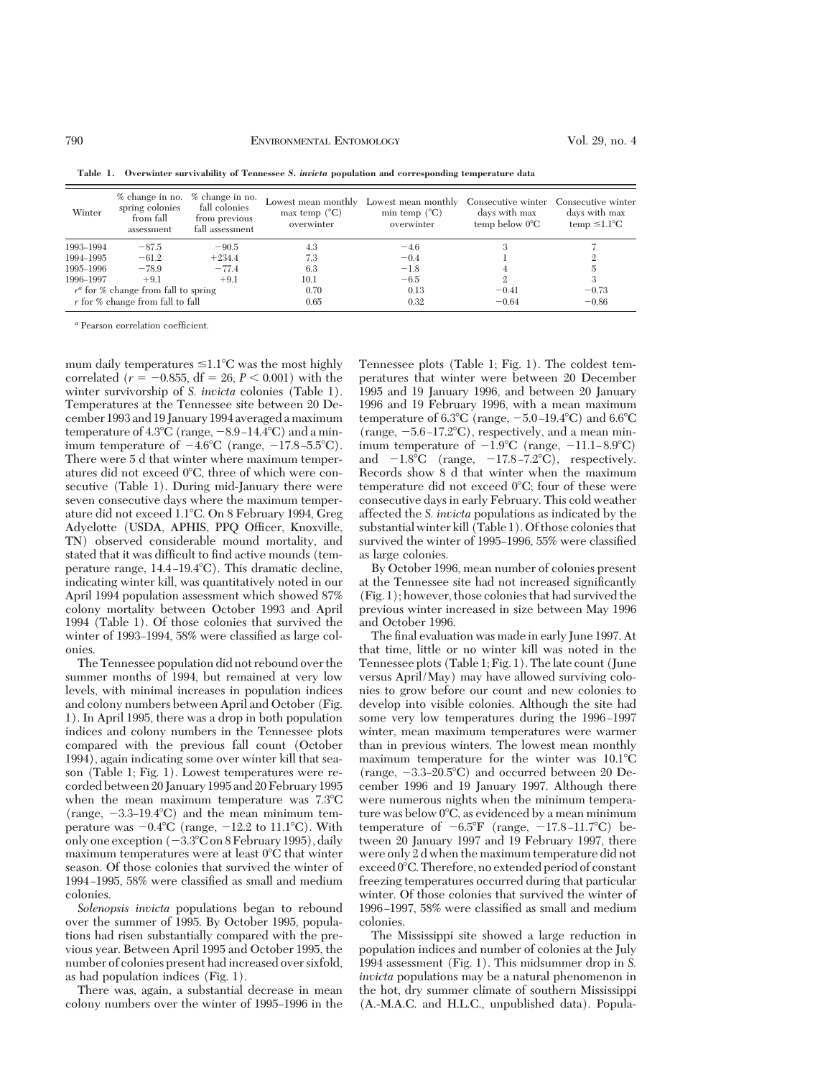| Winter                                 | % change in no.<br>spring colonies<br>from fall<br>assessment | % change in no.<br>fall colonies<br>from previous<br>fall assessment | Lowest mean monthly<br>max temp $(^{\circ}C)$<br>overwinter | Lowest mean monthly<br>min temp $(^{\circ}C)$<br>overwinter | Consecutive winter<br>days with max<br>temp below $0^{\circ}$ C | Consecutive winter<br>days with max<br>temp $\leq 1.1^{\circ}C$ |
|----------------------------------------|---------------------------------------------------------------|----------------------------------------------------------------------|-------------------------------------------------------------|-------------------------------------------------------------|-----------------------------------------------------------------|-----------------------------------------------------------------|
| 1993-1994                              | $-87.5$                                                       | $-90.5$                                                              | 4.3                                                         | $-4.6$                                                      |                                                                 |                                                                 |
| 1994–1995                              | $-61.2$                                                       | $+234.4$                                                             | 7.3                                                         | $-0.4$                                                      |                                                                 |                                                                 |
| 1995–1996                              | $-78.9$                                                       | $-77.4$                                                              | 6.3                                                         | $-1.8$                                                      |                                                                 |                                                                 |
| 1996-1997                              | $+9.1$                                                        | $+9.1$                                                               | 10.1                                                        | $-6.5$                                                      |                                                                 |                                                                 |
| $r^a$ for % change from fall to spring |                                                               |                                                                      | 0.70                                                        | 0.13                                                        | $-0.41$                                                         | $-0.73$                                                         |
| r for % change from fall to fall       |                                                               |                                                                      | 0.65                                                        | 0.32                                                        | $-0.64$                                                         | $-0.86$                                                         |

**Table 1. Overwinter survivability of Tennessee** *S. invicta* **population and corresponding temperature data**

*a* Pearson correlation coefficient.

mum daily temperatures  $\leq 1.1^{\circ}C$  was the most highly correlated ( $r = -0.855$ , df = 26,  $P < 0.001$ ) with the winter survivorship of *S. invicta* colonies (Table 1). Temperatures at the Tennessee site between 20 December 1993 and 19 January 1994 averaged a maximum temperature of  $4.3^{\circ}$ C (range,  $-8.9-14.4^{\circ}$ C) and a minimum temperature of  $-4.6^{\circ}$ C (range,  $-17.8 - 5.5^{\circ}$ C). There were 5 d that winter where maximum temperatures did not exceed  $0^{\circ}$ C, three of which were consecutive (Table 1). During mid-January there were seven consecutive days where the maximum temperature did not exceed 1.18C. On 8 February 1994, Greg Adyelotte (USDA, APHIS, PPQ Officer, Knoxville, TN) observed considerable mound mortality, and stated that it was difficult to find active mounds (temperature range,  $14.4 - 19.4$ °C). This dramatic decline, indicating winter kill, was quantitatively noted in our April 1994 population assessment which showed 87% colony mortality between October 1993 and April 1994 (Table 1). Of those colonies that survived the winter of 1993–1994, 58% were classified as large colonies.

The Tennessee population did not rebound over the summer months of 1994, but remained at very low levels, with minimal increases in population indices and colony numbers between April and October (Fig. 1). In April 1995, there was a drop in both population indices and colony numbers in the Tennessee plots compared with the previous fall count (October 1994), again indicating some over winter kill that season (Table 1; Fig. 1). Lowest temperatures were recorded between 20 January 1995 and 20 February 1995 when the mean maximum temperature was  $7.3^{\circ}$ C (range,  $-3.3-19.4^{\circ}C$ ) and the mean minimum temperature was  $-0.4$ °C (range,  $-12.2$  to  $11.1$ °C). With only one exception  $(-3.3^{\circ}C \text{ on } 8 \text{ February } 1995)$ , daily maximum temperatures were at least  $0^{\circ}$ C that winter season. Of those colonies that survived the winter of 1994-1995, 58% were classified as small and medium colonies.

*Solenopsis invicta* populations began to rebound over the summer of 1995. By October 1995, populations had risen substantially compared with the previous year. Between April 1995 and October 1995, the number of colonies present had increased over sixfold, as had population indices (Fig. 1).

There was, again, a substantial decrease in mean colony numbers over the winter of 1995–1996 in the Tennessee plots (Table 1; Fig. 1). The coldest temperatures that winter were between 20 December 1995 and 19 January 1996, and between 20 January 1996 and 19 February 1996, with a mean maximum temperature of 6.3 $\degree$ C (range,  $-5.0$ -19.4 $\degree$ C) and 6.6 $\degree$ C (range,  $-5.6 - 17.2$ °C), respectively, and a mean minimum temperature of  $-1.9^{\circ}C$  (range,  $-11.1-8.9^{\circ}C$ ) and  $-1.8^{\circ}\text{C}$  (range,  $-17.8 - 7.2^{\circ}\text{C}$ ), respectively. Records show 8 d that winter when the maximum temperature did not exceed  $0^{\circ}$ C; four of these were consecutive days in early February. This cold weather affected the *S. invicta* populations as indicated by the substantial winter kill (Table 1). Of those colonies that survived the winter of 1995-1996, 55% were classified as large colonies.

By October 1996, mean number of colonies present at the Tennessee site had not increased significantly (Fig. 1); however, those colonies that had survived the previous winter increased in size between May 1996 and October 1996.

The final evaluation was made in early June 1997. At that time, little or no winter kill was noted in the Tennessee plots (Table 1; Fig. 1). The late count (June versus April/May) may have allowed surviving colonies to grow before our count and new colonies to develop into visible colonies. Although the site had some very low temperatures during the 1996–1997 winter, mean maximum temperatures were warmer than in previous winters. The lowest mean monthly maximum temperature for the winter was  $10.1^{\circ}$ C (range,  $-3.3-20.5^{\circ}$ C) and occurred between 20 December 1996 and 19 January 1997. Although there were numerous nights when the minimum temperature was below  $0^{\circ}$ C, as evidenced by a mean minimum temperature of  $-6.5^{\circ}$ F (range,  $-17.8 - 11.7^{\circ}$ C) between 20 January 1997 and 19 February 1997, there were only 2 d when the maximum temperature did not  $exceed 0°C$ . Therefore, no extended period of constant freezing temperatures occurred during that particular winter. Of those colonies that survived the winter of 1996-1997, 58% were classified as small and medium colonies.

The Mississippi site showed a large reduction in population indices and number of colonies at the July 1994 assessment (Fig. 1). This midsummer drop in *S. invicta* populations may be a natural phenomenon in the hot, dry summer climate of southern Mississippi (A.-M.A.C. and H.L.C., unpublished data). Popula-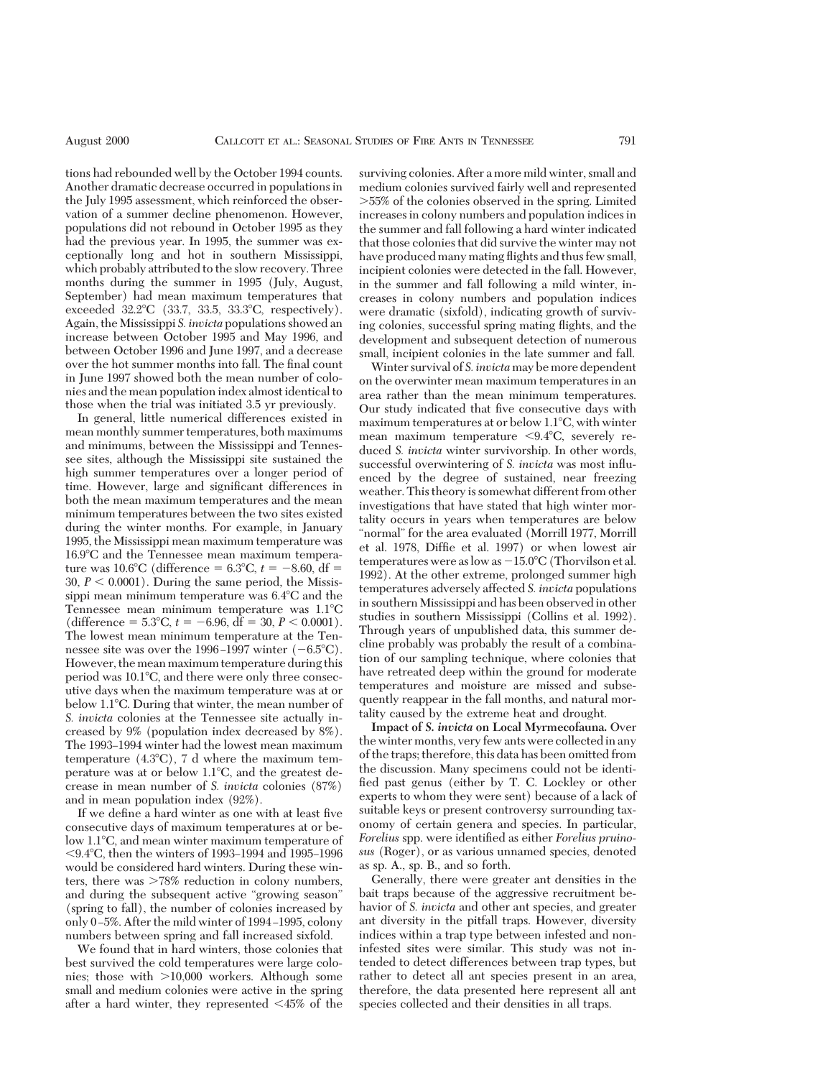tions had rebounded well by the October 1994 counts. Another dramatic decrease occurred in populations in the July 1995 assessment, which reinforced the observation of a summer decline phenomenon. However, populations did not rebound in October 1995 as they had the previous year. In 1995, the summer was exceptionally long and hot in southern Mississippi, which probably attributed to the slow recovery. Three months during the summer in 1995 (July, August, September) had mean maximum temperatures that exceeded  $32.2^{\circ}C$  (33.7, 33.5, 33.3 $^{\circ}C$ , respectively). Again, the Mississippi *S. invicta* populations showed an increase between October 1995 and May 1996, and between October 1996 and June 1997, and a decrease over the hot summer months into fall. The final count in June 1997 showed both the mean number of colonies and the mean population index almost identical to those when the trial was initiated 3.5 yr previously.

In general, little numerical differences existed in mean monthly summer temperatures, both maximums and minimums, between the Mississippi and Tennessee sites, although the Mississippi site sustained the high summer temperatures over a longer period of time. However, large and significant differences in both the mean maximum temperatures and the mean minimum temperatures between the two sites existed during the winter months. For example, in January 1995, the Mississippi mean maximum temperature was  $16.9^{\circ}$ C and the Tennessee mean maximum temperature was 10.6°C (difference =  $6.3$ °C,  $t = -8.60$ , df = 30,  $P < 0.0001$ ). During the same period, the Mississippi mean minimum temperature was  $6.4^{\circ}$ C and the Tennessee mean minimum temperature was  $1.1^{\circ}C$ (difference =  $5.3^{\circ}$ C,  $t = -6.96$ , df =  $30, P \le 0.0001$ ). The lowest mean minimum temperature at the Tennessee site was over the 1996–1997 winter  $(-6.5^{\circ}C)$ . However, the mean maximum temperature during this period was 10.1°C, and there were only three consecutive days when the maximum temperature was at or below 1.1<sup>o</sup>C. During that winter, the mean number of *S. invicta* colonies at the Tennessee site actually increased by 9% (population index decreased by 8%). The 1993-1994 winter had the lowest mean maximum temperature  $(4.3^{\circ}C)$ , 7 d where the maximum temperature was at or below  $1.1^{\circ}$ C, and the greatest decrease in mean number of *S. invicta* colonies (87%) and in mean population index (92%).

If we define a hard winter as one with at least five consecutive days of maximum temperatures at or below 1.1<sup>o</sup>C, and mean winter maximum temperature of  $< 9.4^{\circ}$ C, then the winters of 1993–1994 and 1995–1996 would be considered hard winters. During these winters, there was  $>78\%$  reduction in colony numbers, and during the subsequent active "growing season" (spring to fall), the number of colonies increased by only  $0-5%$ . After the mild winter of 1994-1995, colony numbers between spring and fall increased sixfold.

We found that in hard winters, those colonies that best survived the cold temperatures were large colonies; those with  $>10,000$  workers. Although some small and medium colonies were active in the spring after a hard winter, they represented  $\leq 45\%$  of the

surviving colonies. After a more mild winter, small and medium colonies survived fairly well and represented .55% of the colonies observed in the spring. Limited increases in colony numbers and population indices in the summer and fall following a hard winter indicated that those colonies that did survive the winter may not have produced many mating flights and thus few small, incipient colonies were detected in the fall. However, in the summer and fall following a mild winter, increases in colony numbers and population indices were dramatic (sixfold), indicating growth of surviving colonies, successful spring mating ßights, and the development and subsequent detection of numerous small, incipient colonies in the late summer and fall.

Winter survival of *S. invicta* may be more dependent on the overwinter mean maximum temperatures in an area rather than the mean minimum temperatures. Our study indicated that five consecutive days with maximum temperatures at or below  $1.1^{\circ}$ C, with winter mean maximum temperature  $< 9.4^{\circ}C$ , severely reduced *S. invicta* winter survivorship. In other words, successful overwintering of *S. invicta* was most inßuenced by the degree of sustained, near freezing weather. This theory is somewhat different from other investigations that have stated that high winter mortality occurs in years when temperatures are below "normal" for the area evaluated (Morrill 1977, Morrill et al. 1978, Diffie et al. 1997) or when lowest air temperatures were as low as  $-15.0^{\circ}$ C (Thorvilson et al. 1992). At the other extreme, prolonged summer high temperatures adversely affected *S. invicta* populations in southern Mississippi and has been observed in other studies in southern Mississippi (Collins et al. 1992). Through years of unpublished data, this summer decline probably was probably the result of a combination of our sampling technique, where colonies that have retreated deep within the ground for moderate temperatures and moisture are missed and subsequently reappear in the fall months, and natural mortality caused by the extreme heat and drought.

**Impact of** *S. invicta* **on Local Myrmecofauna.** Over the winter months, very few ants were collected in any of the traps; therefore, this data has been omitted from the discussion. Many specimens could not be identified past genus (either by T. C. Lockley or other experts to whom they were sent) because of a lack of suitable keys or present controversy surrounding taxonomy of certain genera and species. In particular, *Forelius* spp. were identified as either *Forelius pruinosus* (Roger), or as various unnamed species, denoted as sp. A., sp. B., and so forth.

Generally, there were greater ant densities in the bait traps because of the aggressive recruitment behavior of *S. invicta* and other ant species, and greater ant diversity in the pitfall traps. However, diversity indices within a trap type between infested and noninfested sites were similar. This study was not intended to detect differences between trap types, but rather to detect all ant species present in an area, therefore, the data presented here represent all ant species collected and their densities in all traps.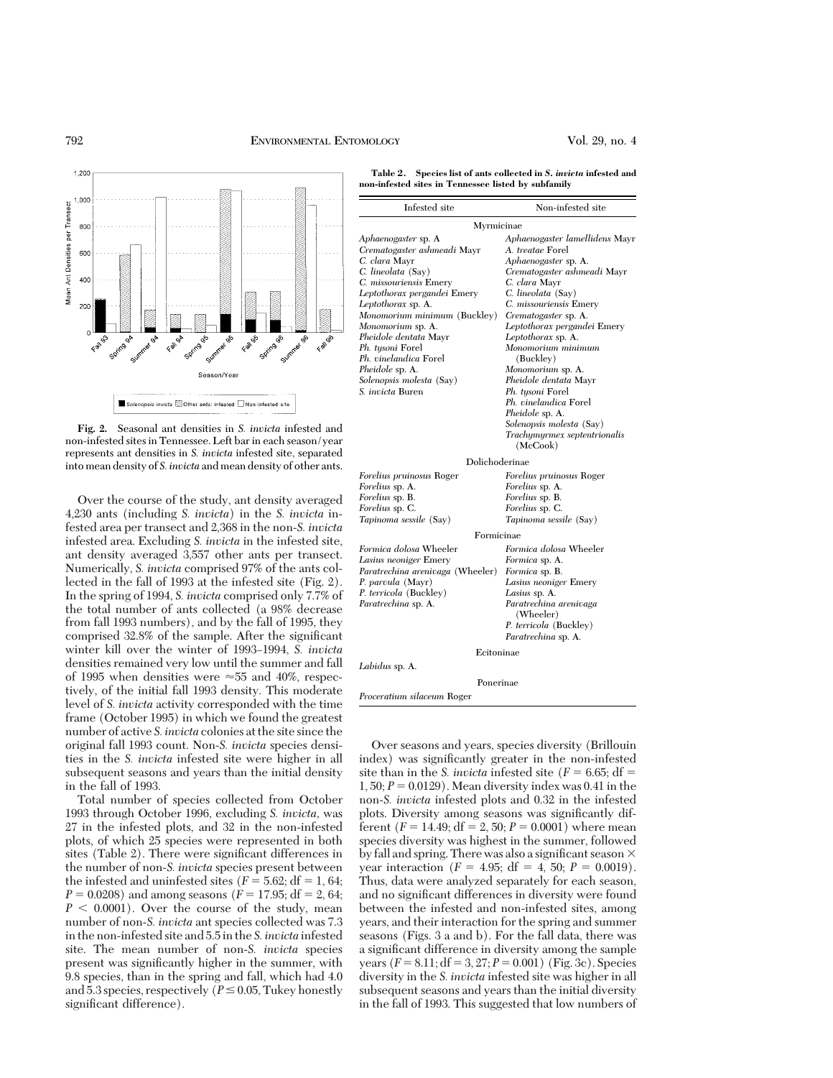



**Fig. 2.** Seasonal ant densities in *S. invicta* infested and non-infested sites in Tennessee. Left bar in each season/year represents ant densities in *S. invicta* infested site, separated into mean density of *S. invicta* and mean density of other ants.

Over the course of the study, ant density averaged 4,230 ants (including *S. invicta*) in the *S. invicta* infested area per transect and 2,368 in the non-*S. invicta* infested area. Excluding *S. invicta* in the infested site, ant density averaged 3,557 other ants per transect. Numerically, *S. invicta* comprised 97% of the ants collected in the fall of 1993 at the infested site (Fig. 2). In the spring of 1994, *S. invicta* comprised only 7.7% of the total number of ants collected (a 98% decrease from fall 1993 numbers), and by the fall of 1995, they comprised 32.8% of the sample. After the significant winter kill over the winter of 1993-1994, *S. invicta* densities remained very low until the summer and fall of 1995 when densities were  $\approx$  55 and 40%, respectively, of the initial fall 1993 density. This moderate level of *S. invicta* activity corresponded with the time frame (October 1995) in which we found the greatest number of active *S. invicta* colonies at the site since the original fall 1993 count. Non-*S. invicta* species densities in the *S. invicta* infested site were higher in all subsequent seasons and years than the initial density in the fall of 1993.

Total number of species collected from October 1993 through October 1996, excluding *S. invicta,* was 27 in the infested plots, and 32 in the non-infested plots, of which 25 species were represented in both sites (Table 2). There were significant differences in the number of non-*S. invicta* species present between the infested and uninfested sites ( $F = 5.62$ ; df = 1, 64;  $P = 0.0208$ ) and among seasons ( $F = 17.95$ ; df = 2, 64;  $P < 0.0001$ ). Over the course of the study, mean number of non-*S. invicta* ant species collected was 7.3 in the non-infested site and 5.5 in the *S. invicta* infested site. The mean number of non-*S. invicta* species present was significantly higher in the summer, with 9.8 species, than in the spring and fall, which had 4.0 and 5.3 species, respectively ( $P \le 0.05$ , Tukey honestly significant difference).

**Table 2. Species list of ants collected in** *S. invicta* **infested and non-infested sites in Tennessee listed by subfamily**

| Infested site                    | Non-infested site                        |  |  |  |  |
|----------------------------------|------------------------------------------|--|--|--|--|
| Myrmicinae                       |                                          |  |  |  |  |
| Aphaenogaster sp. A              | Aphaenogaster lamellidens Mayr           |  |  |  |  |
| Crematogaster ashmeadi Mayr      | A. treatae Forel                         |  |  |  |  |
| C. clara Mayr                    | Aphaenogaster sp. A.                     |  |  |  |  |
| C. lineolata (Say)               | Crematogaster ashmeadi Mayr              |  |  |  |  |
| C. missouriensis Emery           | C. clara Mayr                            |  |  |  |  |
| Leptothorax pergandei Emery      | C. lineolata (Say)                       |  |  |  |  |
| Leptothorax sp. A.               | C. missouriensis Emery                   |  |  |  |  |
| Monomorium minimum (Buckley)     | Crematogaster sp. A.                     |  |  |  |  |
| Monomorium sp. A.                | Leptothorax pergandei Emery              |  |  |  |  |
| Pheidole dentata Mayr            | Leptothorax sp. A.                       |  |  |  |  |
| Ph. tysoni Forel                 | Monomorium minimum                       |  |  |  |  |
| Ph. vinelandica Forel            | (Buckley)                                |  |  |  |  |
| Pheidole sp. A.                  | Monomorium sp. A.                        |  |  |  |  |
| Solenopsis molesta (Say)         | Pheidole dentata Mayr                    |  |  |  |  |
| S. invicta Buren                 | Ph. tysoni Forel                         |  |  |  |  |
|                                  | Ph. vinelandica Forel                    |  |  |  |  |
|                                  | <i>Pheidole sp. A.</i>                   |  |  |  |  |
|                                  | Solenopsis molesta (Say)                 |  |  |  |  |
|                                  | Trachymyrmex septentrionalis<br>(McCook) |  |  |  |  |
| Dolichoderinae                   |                                          |  |  |  |  |
| <i>Forelius pruinosus Roger</i>  | Forelius pruinosus Roger                 |  |  |  |  |
| Forelius sp. A.                  | Forelius sp. A.                          |  |  |  |  |
| Forelius sp. B.                  | Forelius sp. B.                          |  |  |  |  |
| <i>Forelius sp. C.</i>           | Forelius sp. C.                          |  |  |  |  |
| Tapinoma sessile (Say)           | Tapinoma sessile (Say)                   |  |  |  |  |
| Formicinae                       |                                          |  |  |  |  |
| Formica dolosa Wheeler           | Formica dolosa Wheeler                   |  |  |  |  |
| Lasius neoniger Emery            | Formica sp. A.                           |  |  |  |  |
| Paratrechina arenivaga (Wheeler) | <i>Formica</i> sp. B.                    |  |  |  |  |
| P. parvula (Mayr)                | Lasius neoniger Emery                    |  |  |  |  |
| P. terricola (Buckley)           | Lasius sp. A.                            |  |  |  |  |
| <i>Paratrechina</i> sp. A.       | Paratrechina arenivaga<br>(Wheeler)      |  |  |  |  |
|                                  | P. terricola (Buckley)                   |  |  |  |  |
|                                  | Paratrechina sp. A.                      |  |  |  |  |
| Ecitoninae                       |                                          |  |  |  |  |
| Labidus sp. A.                   |                                          |  |  |  |  |
| Ponerinae                        |                                          |  |  |  |  |
| Proceratium silaceum Roger       |                                          |  |  |  |  |
|                                  |                                          |  |  |  |  |

Over seasons and years, species diversity (Brillouin index) was significantly greater in the non-infested site than in the *S. invicta* infested site ( $F = 6.65$ ; df =  $1, 50; P = 0.0129$ . Mean diversity index was 0.41 in the non-*S. invicta* infested plots and 0.32 in the infested plots. Diversity among seasons was significantly different ( $F = 14.49$ ; df = 2, 50;  $P = 0.0001$ ) where mean species diversity was highest in the summer, followed by fall and spring. There was also a significant season  $\times$ year interaction ( $F = 4.95$ ; df = 4, 50;  $P = 0.0019$ ). Thus, data were analyzed separately for each season, and no significant differences in diversity were found between the infested and non-infested sites, among years, and their interaction for the spring and summer seasons (Figs. 3 a and b). For the fall data, there was a significant difference in diversity among the sample years  $(F = 8.11; df = 3, 27; P = 0.001)$  (Fig. 3c). Species diversity in the *S. invicta* infested site was higher in all subsequent seasons and years than the initial diversity in the fall of 1993. This suggested that low numbers of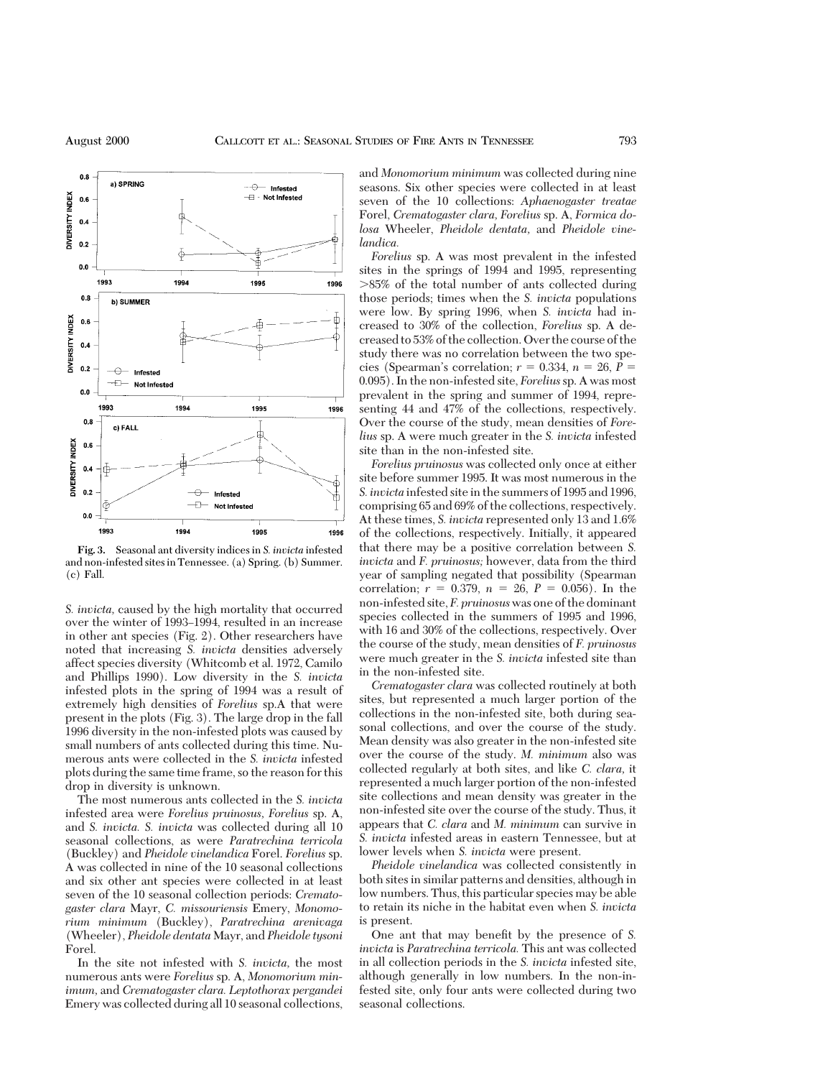

**Fig. 3.** Seasonal ant diversity indices in *S. invicta* infested and non-infested sites in Tennessee. (a) Spring. (b) Summer. (c) Fall.

*S. invicta,* caused by the high mortality that occurred over the winter of 1993–1994, resulted in an increase in other ant species (Fig. 2). Other researchers have noted that increasing *S. invicta* densities adversely affect species diversity (Whitcomb et al. 1972, Camilo and Phillips 1990). Low diversity in the *S. invicta* infested plots in the spring of 1994 was a result of extremely high densities of *Forelius* sp.A that were present in the plots (Fig. 3). The large drop in the fall 1996 diversity in the non-infested plots was caused by small numbers of ants collected during this time. Numerous ants were collected in the *S. invicta* infested plots during the same time frame, so the reason for this drop in diversity is unknown.

The most numerous ants collected in the *S. invicta* infested area were *Forelius pruinosus, Forelius* sp. A, and *S. invicta. S. invicta* was collected during all 10 seasonal collections, as were *Paratrechina terricola* (Buckley) and *Pheidole vinelandica* Forel. *Forelius* sp. A was collected in nine of the 10 seasonal collections and six other ant species were collected in at least seven of the 10 seasonal collection periods: *Crematogaster clara* Mayr, *C. missouriensis* Emery, *Monomorium minimum* (Buckley), *Paratrechina arenivaga* (Wheeler), *Pheidole dentata* Mayr, and *Pheidole tysoni* Forel.

In the site not infested with *S. invicta,* the most numerous ants were *Forelius* sp. A, *Monomorium minimum,* and *Crematogaster clara. Leptothorax pergandei* Emery was collected during all 10 seasonal collections,

and *Monomorium minimum* was collected during nine seasons. Six other species were collected in at least seven of the 10 collections: *Aphaenogaster treatae* Forel, *Crematogaster clara, Forelius* sp. A, *Formica dolosa* Wheeler, *Pheidole dentata,* and *Pheidole vinelandica.*

*Forelius* sp. A was most prevalent in the infested sites in the springs of 1994 and 1995, representing  $>85\%$  of the total number of ants collected during those periods; times when the *S. invicta* populations were low. By spring 1996, when *S. invicta* had increased to 30% of the collection, *Forelius* sp. A decreased to 53% of the collection. Over the course of the study there was no correlation between the two species (Spearman's correlation;  $r = 0.334$ ,  $n = 26$ ,  $P =$ 0.095). In the non-infested site, *Forelius*sp. A was most prevalent in the spring and summer of 1994, representing 44 and 47% of the collections, respectively. Over the course of the study, mean densities of *Forelius* sp. A were much greater in the *S. invicta* infested site than in the non-infested site.

*Forelius pruinosus* was collected only once at either site before summer 1995. It was most numerous in the *S. invicta* infested site in the summers of 1995 and 1996, comprising 65 and 69% of the collections, respectively. At these times, *S. invicta* represented only 13 and 1.6% of the collections, respectively. Initially, it appeared that there may be a positive correlation between *S. invicta* and *F. pruinosus;* however, data from the third year of sampling negated that possibility (Spearman correlation;  $r = 0.379$ ,  $n = 26$ ,  $P = 0.056$ ). In the non-infested site, *F. pruinosus*was one of the dominant species collected in the summers of 1995 and 1996, with 16 and 30% of the collections, respectively. Over the course of the study, mean densities of *F. pruinosus* were much greater in the *S. invicta* infested site than in the non-infested site.

*Crematogaster clara* was collected routinely at both sites, but represented a much larger portion of the collections in the non-infested site, both during seasonal collections, and over the course of the study. Mean density was also greater in the non-infested site over the course of the study. *M. minimum* also was collected regularly at both sites, and like *C. clara,* it represented a much larger portion of the non-infested site collections and mean density was greater in the non-infested site over the course of the study. Thus, it appears that *C. clara* and *M. minimum* can survive in *S. invicta* infested areas in eastern Tennessee, but at lower levels when *S. invicta* were present.

*Pheidole vinelandica* was collected consistently in both sites in similar patterns and densities, although in low numbers. Thus, this particular species may be able to retain its niche in the habitat even when *S. invicta* is present.

One ant that may benefit by the presence of S. *invicta* is *Paratrechina terricola.* This ant was collected in all collection periods in the *S. invicta* infested site, although generally in low numbers. In the non-infested site, only four ants were collected during two seasonal collections.